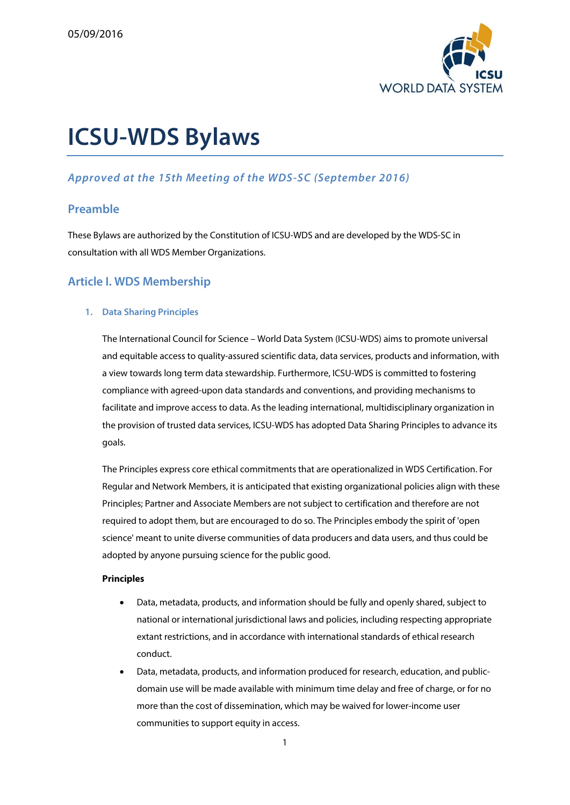

# **ICSU-WDS Bylaws**

### **Approved at the 15th Meeting of the WDS-SC (September 2016)**

### **Preamble**

These Bylaws are authorized by the Constitution of ICSU-WDS and are developed by the WDS-SC in consultation with all WDS Member Organizations.

### **Article I. WDS Membership**

### **1. Data Sharing Principles**

The International Council for Science – World Data System (ICSU-WDS) aims to promote universal and equitable access to quality-assured scientific data, data services, products and information, with a view towards long term data stewardship. Furthermore, ICSU-WDS is committed to fostering compliance with agreed-upon data standards and conventions, and providing mechanisms to facilitate and improve access to data. As the leading international, multidisciplinary organization in the provision of trusted data services, ICSU-WDS has adopted Data Sharing Principles to advance its goals.

The Principles express core ethical commitments that are operationalized in WDS Certification. For Regular and Network Members, it is anticipated that existing organizational policies align with these Principles; Partner and Associate Members are not subject to certification and therefore are not required to adopt them, but are encouraged to do so. The Principles embody the spirit of 'open science' meant to unite diverse communities of data producers and data users, and thus could be adopted by anyone pursuing science for the public good.

### **Principles**

- Data, metadata, products, and information should be fully and openly shared, subject to national or international jurisdictional laws and policies, including respecting appropriate extant restrictions, and in accordance with international standards of ethical research conduct.
- Data, metadata, products, and information produced for research, education, and publicdomain use will be made available with minimum time delay and free of charge, or for no more than the cost of dissemination, which may be waived for lower-income user communities to support equity in access.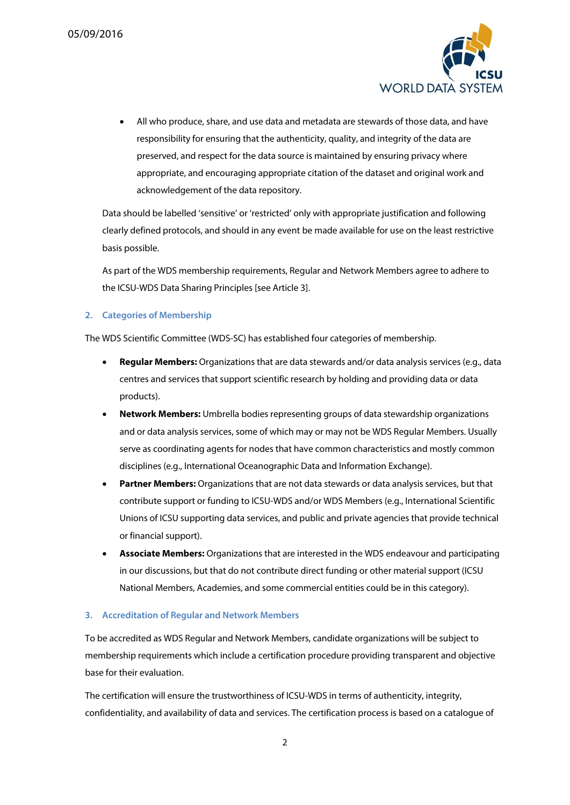

 All who produce, share, and use data and metadata are stewards of those data, and have responsibility for ensuring that the authenticity, quality, and integrity of the data are preserved, and respect for the data source is maintained by ensuring privacy where appropriate, and encouraging appropriate citation of the dataset and original work and acknowledgement of the data repository.

Data should be labelled 'sensitive' or 'restricted' only with appropriate justification and following clearly defined protocols, and should in any event be made available for use on the least restrictive basis possible.

As part of the WDS membership requirements, Regular and Network Members agree to adhere to the ICSU-WDS Data Sharing Principles [see Article 3].

### **2. Categories of Membership**

The WDS Scientific Committee (WDS-SC) has established four categories of membership.

- **Regular Members:** Organizations that are data stewards and/or data analysis services (e.g., data centres and services that support scientific research by holding and providing data or data products).
- **Network Members:** Umbrella bodies representing groups of data stewardship organizations and or data analysis services, some of which may or may not be WDS Regular Members. Usually serve as coordinating agents for nodes that have common characteristics and mostly common disciplines (e.g., International Oceanographic Data and Information Exchange).
- **Partner Members:** Organizations that are not data stewards or data analysis services, but that contribute support or funding to ICSU-WDS and/or WDS Members (e.g., International Scientific Unions of ICSU supporting data services, and public and private agencies that provide technical or financial support).
- **Associate Members:** Organizations that are interested in the WDS endeavour and participating in our discussions, but that do not contribute direct funding or other material support (ICSU National Members, Academies, and some commercial entities could be in this category).

### **3. Accreditation of Regular and Network Members**

To be accredited as WDS Regular and Network Members, candidate organizations will be subject to membership requirements which include a certification procedure providing transparent and objective base for their evaluation.

The certification will ensure the trustworthiness of ICSU-WDS in terms of authenticity, integrity, confidentiality, and availability of data and services. The certification process is based on a catalogue of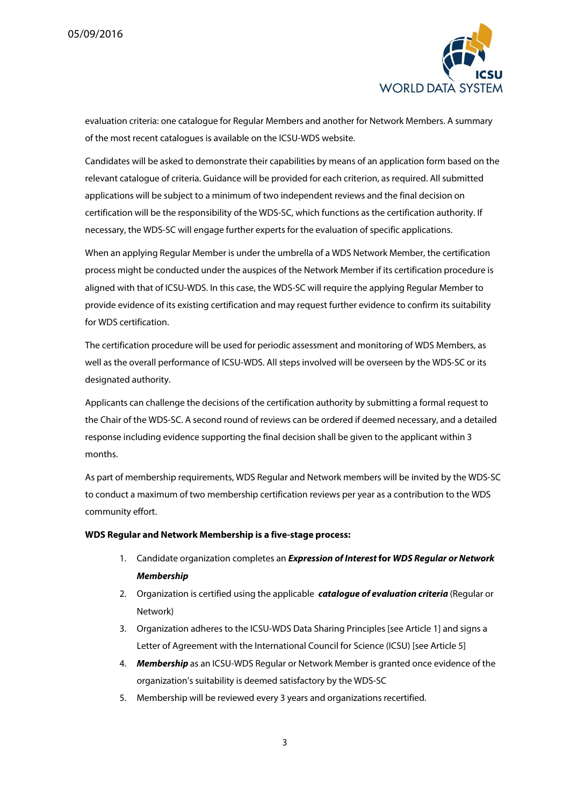

evaluation criteria: one catalogue for Regular Members and another for Network Members. A summary of the most recent catalogues is available on the ICSU-WDS website.

Candidates will be asked to demonstrate their capabilities by means of an application form based on the relevant catalogue of criteria. Guidance will be provided for each criterion, as required. All submitted applications will be subject to a minimum of two independent reviews and the final decision on certification will be the responsibility of the WDS-SC, which functions as the certification authority. If necessary, the WDS-SC will engage further experts for the evaluation of specific applications.

When an applying Regular Member is under the umbrella of a WDS Network Member, the certification process might be conducted under the auspices of the Network Member if its certification procedure is aligned with that of ICSU-WDS. In this case, the WDS-SC will require the applying Regular Member to provide evidence of its existing certification and may request further evidence to confirm its suitability for WDS certification.

The certification procedure will be used for periodic assessment and monitoring of WDS Members, as well as the overall performance of ICSU-WDS. All steps involved will be overseen by the WDS-SC or its designated authority.

Applicants can challenge the decisions of the certification authority by submitting a formal request to the Chair of the WDS-SC. A second round of reviews can be ordered if deemed necessary, and a detailed response including evidence supporting the final decision shall be given to the applicant within 3 months.

As part of membership requirements, WDS Regular and Network members will be invited by the WDS-SC to conduct a maximum of two membership certification reviews per year as a contribution to the WDS community effort.

### **WDS Regular and Network Membership is a five-stage process:**

- 1. Candidate organization completes an **Expression of Interest for WDS Regular or Network Membership**
- 2. Organization is certified using the applicable **catalogue of evaluation criteria** (Regular or Network)
- 3. Organization adheres to the ICSU-WDS Data Sharing Principles [see Article 1] and signs a Letter of Agreement with the International Council for Science (ICSU) [see Article 5]
- 4. **Membership** as an ICSU-WDS Regular or Network Member is granted once evidence of the organization's suitability is deemed satisfactory by the WDS-SC
- 5. Membership will be reviewed every 3 years and organizations recertified.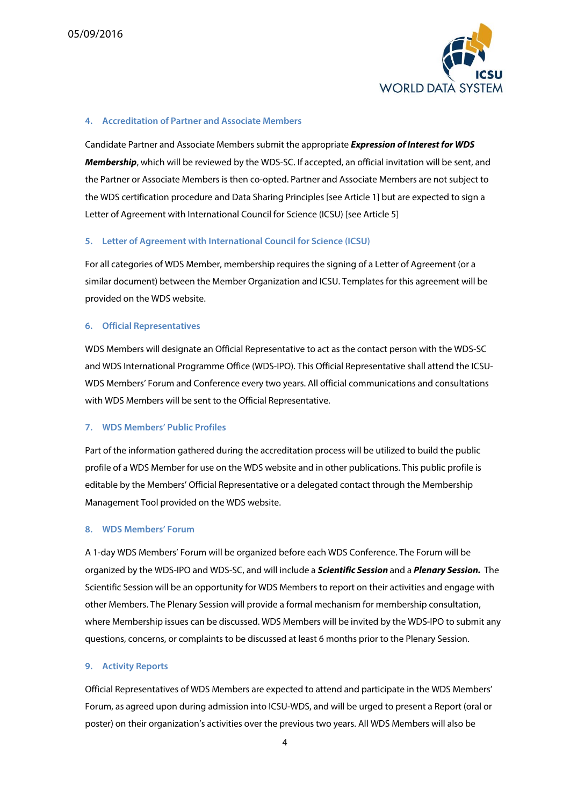

### **4. Accreditation of Partner and Associate Members**

Candidate Partner and Associate Members submit the appropriate **Expression of Interest for WDS Membership**, which will be reviewed by the WDS-SC. If accepted, an official invitation will be sent, and the Partner or Associate Members is then co-opted. Partner and Associate Members are not subject to the WDS certification procedure and Data Sharing Principles [see Article 1] but are expected to sign a Letter of Agreement with International Council for Science (ICSU) [see Article 5]

### **5. Letter of Agreement with International Council for Science (ICSU)**

For all categories of WDS Member, membership requires the signing of a Letter of Agreement (or a similar document) between the Member Organization and ICSU. Templates for this agreement will be provided on the WDS website.

### **6. Official Representatives**

WDS Members will designate an Official Representative to act as the contact person with the WDS-SC and WDS International Programme Office (WDS-IPO). This Official Representative shall attend the ICSU-WDS Members' Forum and Conference every two years. All official communications and consultations with WDS Members will be sent to the Official Representative.

### **7. WDS Members' Public Profiles**

Part of the information gathered during the accreditation process will be utilized to build the public profile of a WDS Member for use on the WDS website and in other publications. This public profile is editable by the Members' Official Representative or a delegated contact through the Membership Management Tool provided on the WDS website.

### **8. WDS Members' Forum**

A 1-day WDS Members' Forum will be organized before each WDS Conference. The Forum will be organized by the WDS-IPO and WDS-SC, and will include a **Scientific Session** and a **Plenary Session.** The Scientific Session will be an opportunity for WDS Members to report on their activities and engage with other Members. The Plenary Session will provide a formal mechanism for membership consultation, where Membership issues can be discussed. WDS Members will be invited by the WDS-IPO to submit any questions, concerns, or complaints to be discussed at least 6 months prior to the Plenary Session.

### **9. Activity Reports**

Official Representatives of WDS Members are expected to attend and participate in the WDS Members' Forum, as agreed upon during admission into ICSU-WDS, and will be urged to present a Report (oral or poster) on their organization's activities over the previous two years. All WDS Members will also be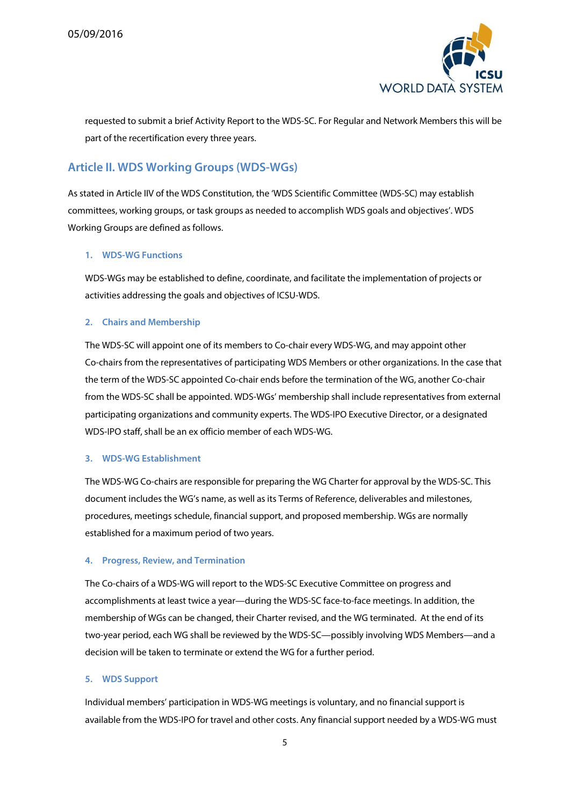

requested to submit a brief Activity Report to the WDS-SC. For Regular and Network Members this will be part of the recertification every three years.

# **Article II. WDS Working Groups (WDS-WGs)**

As stated in Article IIV of the WDS Constitution, the 'WDS Scientific Committee (WDS-SC) may establish committees, working groups, or task groups as needed to accomplish WDS goals and objectives'. WDS Working Groups are defined as follows.

### **1. WDS-WG Functions**

WDS-WGs may be established to define, coordinate, and facilitate the implementation of projects or activities addressing the goals and objectives of ICSU-WDS.

### **2. Chairs and Membership**

The WDS-SC will appoint one of its members to Co-chair every WDS-WG, and may appoint other Co-chairs from the representatives of participating WDS Members or other organizations. In the case that the term of the WDS-SC appointed Co-chair ends before the termination of the WG, another Co-chair from the WDS-SC shall be appointed. WDS-WGs' membership shall include representatives from external participating organizations and community experts. The WDS-IPO Executive Director, or a designated WDS-IPO staff, shall be an ex officio member of each WDS-WG.

### **3. WDS-WG Establishment**

The WDS-WG Co-chairs are responsible for preparing the WG Charter for approval by the WDS-SC. This document includes the WG's name, as well as its Terms of Reference, deliverables and milestones, procedures, meetings schedule, financial support, and proposed membership. WGs are normally established for a maximum period of two years.

### **4. Progress, Review, and Termination**

The Co-chairs of a WDS-WG will report to the WDS-SC Executive Committee on progress and accomplishments at least twice a year—during the WDS-SC face-to-face meetings. In addition, the membership of WGs can be changed, their Charter revised, and the WG terminated. At the end of its two-year period, each WG shall be reviewed by the WDS-SC—possibly involving WDS Members—and a decision will be taken to terminate or extend the WG for a further period.

### **5. WDS Support**

Individual members' participation in WDS-WG meetings is voluntary, and no financial support is available from the WDS-IPO for travel and other costs. Any financial support needed by a WDS-WG must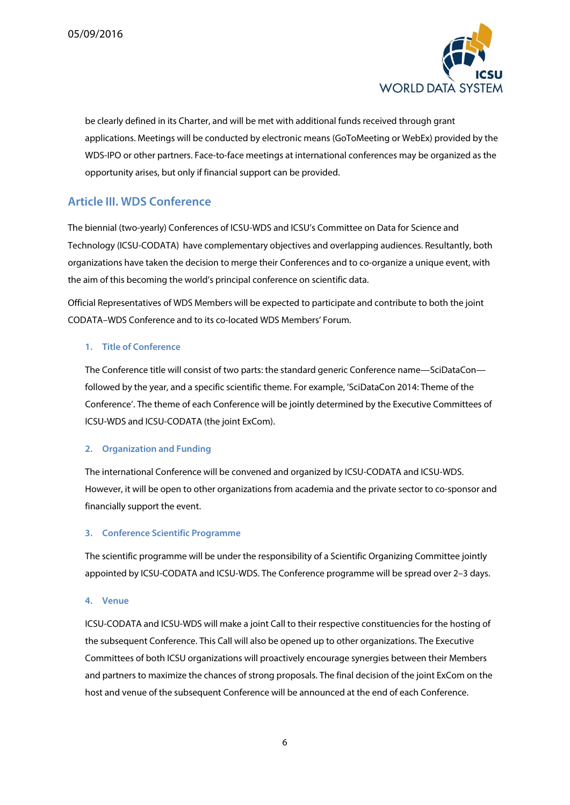

be clearly defined in its Charter, and will be met with additional funds received through grant applications. Meetings will be conducted by electronic means (GoToMeeting or WebEx) provided by the WDS-IPO or other partners. Face-to-face meetings at international conferences may be organized as the opportunity arises, but only if financial support can be provided.

### **Article III. WDS Conference**

The biennial (two-yearly) Conferences of ICSU-WDS and ICSU's Committee on Data for Science and Technology (ICSU-CODATA) have complementary objectives and overlapping audiences. Resultantly, both organizations have taken the decision to merge their Conferences and to co-organize a unique event, with the aim of this becoming the world's principal conference on scientific data.

Official Representatives of WDS Members will be expected to participate and contribute to both the joint CODATA–WDS Conference and to its co-located WDS Members' Forum.

### **1. Title of Conference**

The Conference title will consist of two parts: the standard generic Conference name—SciDataCon followed by the year, and a specific scientific theme. For example, 'SciDataCon 2014: Theme of the Conference'. The theme of each Conference will be jointly determined by the Executive Committees of ICSU-WDS and ICSU-CODATA (the joint ExCom).

### **2. Organization and Funding**

The international Conference will be convened and organized by ICSU-CODATA and ICSU-WDS. However, it will be open to other organizations from academia and the private sector to co-sponsor and financially support the event.

### **3. Conference Scientific Programme**

The scientific programme will be under the responsibility of a Scientific Organizing Committee jointly appointed by ICSU-CODATA and ICSU-WDS. The Conference programme will be spread over 2–3 days.

### **4. Venue**

ICSU-CODATA and ICSU-WDS will make a joint Call to their respective constituencies for the hosting of the subsequent Conference. This Call will also be opened up to other organizations. The Executive Committees of both ICSU organizations will proactively encourage synergies between their Members and partners to maximize the chances of strong proposals. The final decision of the joint ExCom on the host and venue of the subsequent Conference will be announced at the end of each Conference.